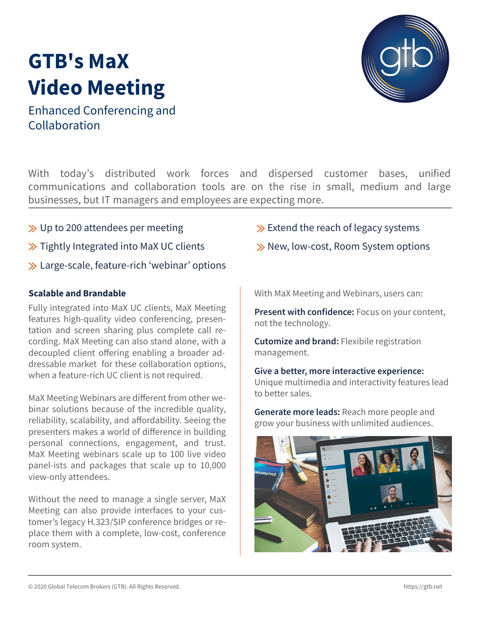# **GTB's MaX Video Meeting**

Enhanced Conferencing and Collaboration

With today's distributed work forces and dispersed customer bases, unified communications and collaboration tools are on the rise in small, medium and large businesses, but IT managers and employees are expecting more.

- $\gg$  Up to 200 attendees per meeting
- $\gg$  Tightly Integrated into MaX UC clients
- **≫** Large-scale, feature-rich 'webinar' options

## **Scalable and Brandable**

Fully integrated into MaX UC clients, MaX Meeting features high-quality video conferencing, presentation and screen sharing plus complete call recording. MaX Meeting can also stand alone, with a decoupled client offering enabling a broader addressable market for these collaboration options, when a feature-rich UC client is not required.

MaX Meeting Webinars are different from other webinar solutions because of the incredible quality, reliability, scalability, and affordability. Seeing the presenters makes a world of difference in building personal connections, engagement, and trust. MaX Meeting webinars scale up to 100 live video panel-ists and packages that scale up to 10,000 view-only attendees.

Without the need to manage a single server, MaX Meeting can also provide interfaces to your customer's legacy H.323/SIP conference bridges or replace them with a complete, low-cost, conference room system.

# $\gg$  Extend the reach of legacy systems

 $\gg$  New, low-cost, Room System options

With MaX Meeting and Webinars, users can:

**Present with confidence:** Focus on your content, not the technology.

**Cutomize and brand:** Flexibile registration management.

**Give a better, more interactive experience:**  Unique multimedia and interactivity features lead to better sales.

**Generate more leads:** Reach more people and grow your business with unlimited audiences.